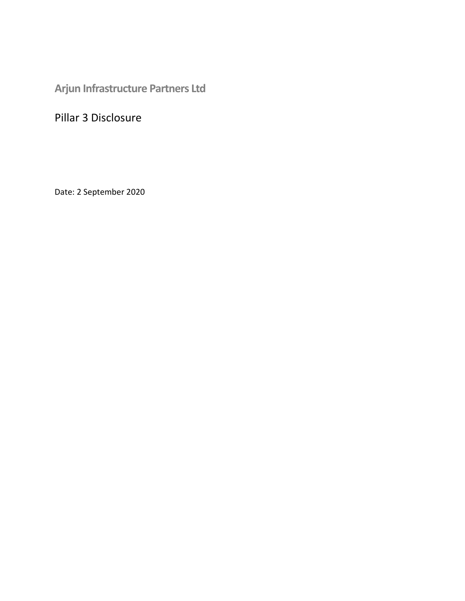**Arjun Infrastructure Partners Ltd**

Pillar 3 Disclosure

Date: 2 September 2020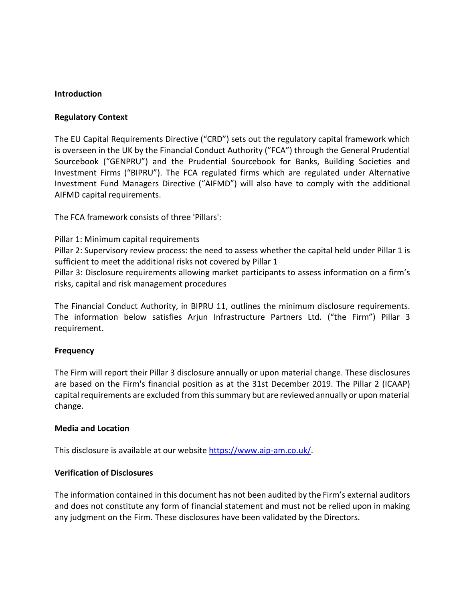### **Introduction**

## **Regulatory Context**

The EU Capital Requirements Directive ("CRD") sets out the regulatory capital framework which is overseen in the UK by the Financial Conduct Authority ("FCA") through the General Prudential Sourcebook ("GENPRU") and the Prudential Sourcebook for Banks, Building Societies and Investment Firms ("BIPRU"). The FCA regulated firms which are regulated under Alternative Investment Fund Managers Directive ("AIFMD") will also have to comply with the additional AIFMD capital requirements.

The FCA framework consists of three 'Pillars':

Pillar 1: Minimum capital requirements

Pillar 2: Supervisory review process: the need to assess whether the capital held under Pillar 1 is sufficient to meet the additional risks not covered by Pillar 1

Pillar 3: Disclosure requirements allowing market participants to assess information on a firm's risks, capital and risk management procedures

The Financial Conduct Authority, in BIPRU 11, outlines the minimum disclosure requirements. The information below satisfies Arjun Infrastructure Partners Ltd. ("the Firm") Pillar 3 requirement.

## **Frequency**

The Firm will report their Pillar 3 disclosure annually or upon material change. These disclosures are based on the Firm's financial position as at the 31st December 2019. The Pillar 2 (ICAAP) capital requirements are excluded from this summary but are reviewed annually or upon material change.

#### **Media and Location**

This disclosure is available at our website [https://www.aip-am.co.uk/.](https://www.aip-am.co.uk/)

## **Verification of Disclosures**

The information contained in this document has not been audited by the Firm's external auditors and does not constitute any form of financial statement and must not be relied upon in making any judgment on the Firm. These disclosures have been validated by the Directors.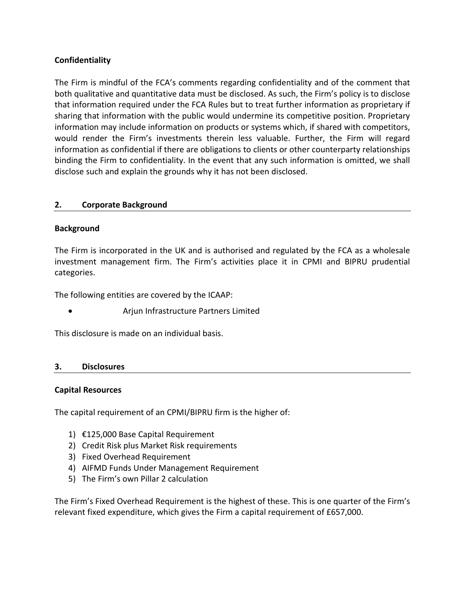# **Confidentiality**

The Firm is mindful of the FCA's comments regarding confidentiality and of the comment that both qualitative and quantitative data must be disclosed. As such, the Firm's policy is to disclose that information required under the FCA Rules but to treat further information as proprietary if sharing that information with the public would undermine its competitive position. Proprietary information may include information on products or systems which, if shared with competitors, would render the Firm's investments therein less valuable. Further, the Firm will regard information as confidential if there are obligations to clients or other counterparty relationships binding the Firm to confidentiality. In the event that any such information is omitted, we shall disclose such and explain the grounds why it has not been disclosed.

## **2. Corporate Background**

## **Background**

The Firm is incorporated in the UK and is authorised and regulated by the FCA as a wholesale investment management firm. The Firm's activities place it in CPMI and BIPRU prudential categories.

The following entities are covered by the ICAAP:

• Arjun Infrastructure Partners Limited

This disclosure is made on an individual basis.

#### **3. Disclosures**

#### **Capital Resources**

The capital requirement of an CPMI/BIPRU firm is the higher of:

- 1) €125,000 Base Capital Requirement
- 2) Credit Risk plus Market Risk requirements
- 3) Fixed Overhead Requirement
- 4) AIFMD Funds Under Management Requirement
- 5) The Firm's own Pillar 2 calculation

The Firm's Fixed Overhead Requirement is the highest of these. This is one quarter of the Firm's relevant fixed expenditure, which gives the Firm a capital requirement of £657,000.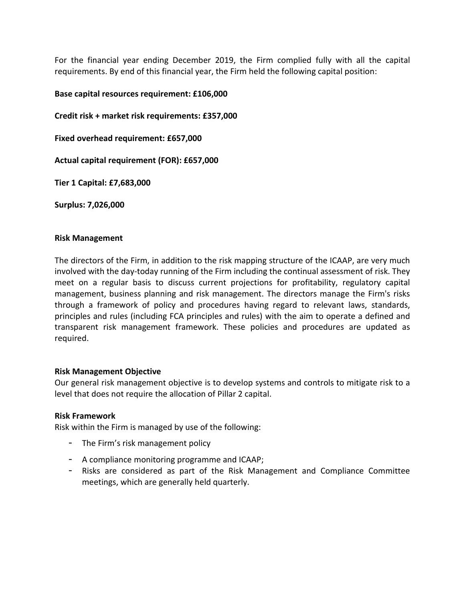For the financial year ending December 2019, the Firm complied fully with all the capital requirements. By end of this financial year, the Firm held the following capital position:

## **Base capital resources requirement: £106,000**

**Credit risk + market risk requirements: £357,000**

**Fixed overhead requirement: £657,000**

**Actual capital requirement (FOR): £657,000**

**Tier 1 Capital: £7,683,000**

**Surplus: 7,026,000**

### **Risk Management**

The directors of the Firm, in addition to the risk mapping structure of the ICAAP, are very much involved with the day-today running of the Firm including the continual assessment of risk. They meet on a regular basis to discuss current projections for profitability, regulatory capital management, business planning and risk management. The directors manage the Firm's risks through a framework of policy and procedures having regard to relevant laws, standards, principles and rules (including FCA principles and rules) with the aim to operate a defined and transparent risk management framework. These policies and procedures are updated as required.

## **Risk Management Objective**

Our general risk management objective is to develop systems and controls to mitigate risk to a level that does not require the allocation of Pillar 2 capital.

## **Risk Framework**

Risk within the Firm is managed by use of the following:

- The Firm's risk management policy
- A compliance monitoring programme and ICAAP;
- Risks are considered as part of the Risk Management and Compliance Committee meetings, which are generally held quarterly.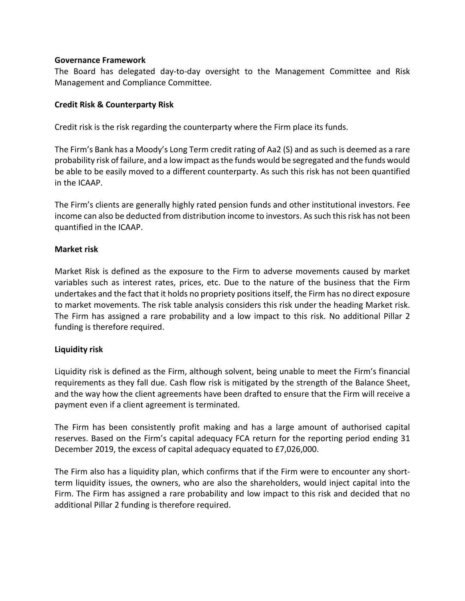### **Governance Framework**

The Board has delegated day-to-day oversight to the Management Committee and Risk Management and Compliance Committee.

## **Credit Risk & Counterparty Risk**

Credit risk is the risk regarding the counterparty where the Firm place its funds.

The Firm's Bank has a Moody's Long Term credit rating of Aa2 (S) and as such is deemed as a rare probability risk of failure, and a low impact as the funds would be segregated and the funds would be able to be easily moved to a different counterparty. As such this risk has not been quantified in the ICAAP.

The Firm's clients are generally highly rated pension funds and other institutional investors. Fee income can also be deducted from distribution income to investors. As such this risk has not been quantified in the ICAAP.

### **Market risk**

Market Risk is defined as the exposure to the Firm to adverse movements caused by market variables such as interest rates, prices, etc. Due to the nature of the business that the Firm undertakes and the fact that it holds no propriety positions itself, the Firm has no direct exposure to market movements. The risk table analysis considers this risk under the heading Market risk. The Firm has assigned a rare probability and a low impact to this risk. No additional Pillar 2 funding is therefore required.

## **Liquidity risk**

Liquidity risk is defined as the Firm, although solvent, being unable to meet the Firm's financial requirements as they fall due. Cash flow risk is mitigated by the strength of the Balance Sheet, and the way how the client agreements have been drafted to ensure that the Firm will receive a payment even if a client agreement is terminated.

The Firm has been consistently profit making and has a large amount of authorised capital reserves. Based on the Firm's capital adequacy FCA return for the reporting period ending 31 December 2019, the excess of capital adequacy equated to £7,026,000.

The Firm also has a liquidity plan, which confirms that if the Firm were to encounter any shortterm liquidity issues, the owners, who are also the shareholders, would inject capital into the Firm. The Firm has assigned a rare probability and low impact to this risk and decided that no additional Pillar 2 funding is therefore required.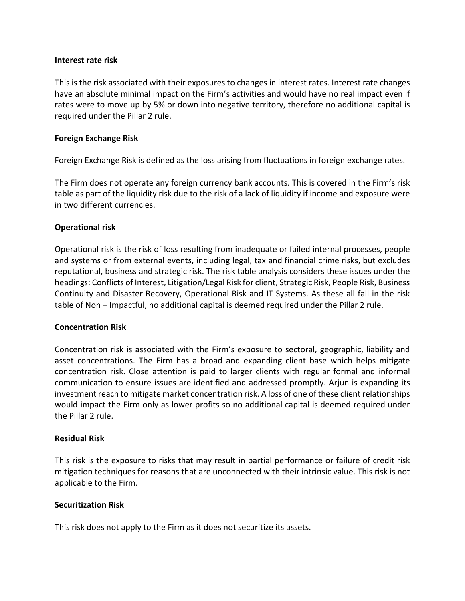### **Interest rate risk**

This is the risk associated with their exposures to changes in interest rates. Interest rate changes have an absolute minimal impact on the Firm's activities and would have no real impact even if rates were to move up by 5% or down into negative territory, therefore no additional capital is required under the Pillar 2 rule.

## **Foreign Exchange Risk**

Foreign Exchange Risk is defined as the loss arising from fluctuations in foreign exchange rates.

The Firm does not operate any foreign currency bank accounts. This is covered in the Firm's risk table as part of the liquidity risk due to the risk of a lack of liquidity if income and exposure were in two different currencies.

### **Operational risk**

Operational risk is the risk of loss resulting from inadequate or failed internal processes, people and systems or from external events, including legal, tax and financial crime risks, but excludes reputational, business and strategic risk. The risk table analysis considers these issues under the headings: Conflicts of Interest, Litigation/Legal Risk for client, Strategic Risk, People Risk, Business Continuity and Disaster Recovery, Operational Risk and IT Systems. As these all fall in the risk table of Non – Impactful, no additional capital is deemed required under the Pillar 2 rule.

## **Concentration Risk**

Concentration risk is associated with the Firm's exposure to sectoral, geographic, liability and asset concentrations. The Firm has a broad and expanding client base which helps mitigate concentration risk. Close attention is paid to larger clients with regular formal and informal communication to ensure issues are identified and addressed promptly. Arjun is expanding its investment reach to mitigate market concentration risk. A loss of one of these client relationships would impact the Firm only as lower profits so no additional capital is deemed required under the Pillar 2 rule.

### **Residual Risk**

This risk is the exposure to risks that may result in partial performance or failure of credit risk mitigation techniques for reasons that are unconnected with their intrinsic value. This risk is not applicable to the Firm.

## **Securitization Risk**

This risk does not apply to the Firm as it does not securitize its assets.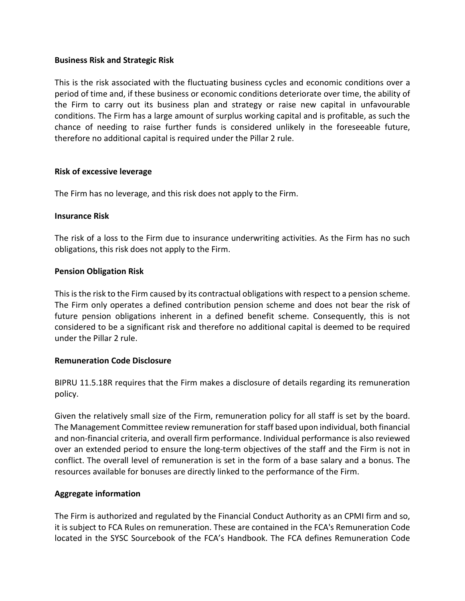## **Business Risk and Strategic Risk**

This is the risk associated with the fluctuating business cycles and economic conditions over a period of time and, if these business or economic conditions deteriorate over time, the ability of the Firm to carry out its business plan and strategy or raise new capital in unfavourable conditions. The Firm has a large amount of surplus working capital and is profitable, as such the chance of needing to raise further funds is considered unlikely in the foreseeable future, therefore no additional capital is required under the Pillar 2 rule.

### **Risk of excessive leverage**

The Firm has no leverage, and this risk does not apply to the Firm.

### **Insurance Risk**

The risk of a loss to the Firm due to insurance underwriting activities. As the Firm has no such obligations, this risk does not apply to the Firm.

### **Pension Obligation Risk**

This is the risk to the Firm caused by its contractual obligations with respect to a pension scheme. The Firm only operates a defined contribution pension scheme and does not bear the risk of future pension obligations inherent in a defined benefit scheme. Consequently, this is not considered to be a significant risk and therefore no additional capital is deemed to be required under the Pillar 2 rule.

## **Remuneration Code Disclosure**

BIPRU 11.5.18R requires that the Firm makes a disclosure of details regarding its remuneration policy.

Given the relatively small size of the Firm, remuneration policy for all staff is set by the board. The Management Committee review remuneration for staff based upon individual, both financial and non-financial criteria, and overall firm performance. Individual performance is also reviewed over an extended period to ensure the long-term objectives of the staff and the Firm is not in conflict. The overall level of remuneration is set in the form of a base salary and a bonus. The resources available for bonuses are directly linked to the performance of the Firm.

#### **Aggregate information**

The Firm is authorized and regulated by the Financial Conduct Authority as an CPMI firm and so, it is subject to FCA Rules on remuneration. These are contained in the FCA's Remuneration Code located in the SYSC Sourcebook of the FCA's Handbook. The FCA defines Remuneration Code